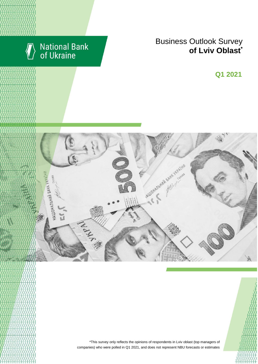

# National Bank<br>of Ukraine

## Business Outlook Survey **of** Lviv Oblast<sup>\*</sup>

**Q2 2018 Q1 2021**



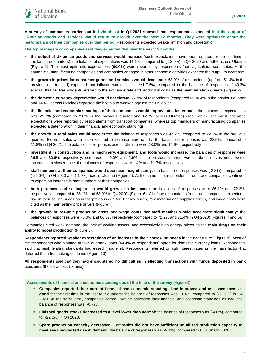**A survey of companies carried out in Lviv oblast in Q1 2021 showed that respondents expected that the output of Ukrainian goods and services would return to growth over the next 12 months. They were optimistic about the performance of their companies over that period.** Respondents expected weaker inflation and depreciation.

**The top managers of companies said they expected that over the next 12 months:**

- **the output of Ukrainian goods and services would increase** (such expectations have been reported for the first time in the last three quarters): the balance of expectations was 11.1%, compared to (-13.9%) in Q4 2020 and 5.6% across Ukraine (Figure 1). The most optimistic expectations (60.0%) were reported by respondents from agricultural companies. At the same time, manufacturing companies and companies engaged in other economic activities expected the output to decrease
- **the growth in prices for consumer goods and services would decelerate**: 63.9% of respondents (up from 51.4% in the previous quarter and) expected that inflation would not exceed 7.5%, compared to the balance of responses of 49.3% across Ukraine. Respondents referred to the exchange rate and production costs as **the main inflation drivers** (Figure 2)
- **the domestic currency depreciation would decelerate**: 77.8% of respondents (compared to 94.4% in the previous quarter and 74.4% across Ukraine) expected the hryvnia to weaken against the US dollar
- **the financial and economic standings of their companies would improve at a faster pace**: the balance of expectations was 25.7% (compared to 2.8% in the previous quarter and 12.7% across Ukraine) (see Table). The most optimistic expectations were reported by respondents from transport companies, whereas top managers of manufacturing companies expected a deterioration in their financial and economic standings
- **the growth in total sales would accelerate:** the balance of responses was 47.2%, compared to 22.2% in the previous quarter. External sales were also expected to increase more rapidly: the balance of responses was 23.5%, compared to 11.8% in Q4 2021. The balances of responses across Ukraine were 18.0% and 14.9% respectively
- **investment in construction and in machinery, equipment, and tools would increase:** the balances of responses were 26.5 and 30.6% respectively, compared to 0.0% and 2.9% in the previous quarter. Across Ukraine investments would increase at a slower pace: the balances of responses were 1.4% and 11.7% respectively
- **staff numbers at their companies would decrease insignificantly:** the balance of responses was (-2.8%), compared to (-25.0%) in Q4 2020 and (-1.9%) across Ukraine (Figure 4). At the same time, respondents from trade companies continued to expect an increase in staff numbers at their companies
- **both purchase and selling prices would grow at a fast pace:** the balances of responses were 86.1% and 72.2%, respectively (compared to 86.1% and 63.9% in Q4 2020) (Figure 6). All of the respondents from trade companies expected a rise in their selling prices as in the previous quarter. Energy prices, raw material and supplies prices, and wage costs were cited as the main selling price drivers (Figure 7)
- **the growth in per-unit production costs** and **wage costs per staff member would accelerate significantly:** the balances of responses were 75.0% and 66.7% respectively (compared to 72.2% and 71.4% in Q4 2020) (Figures 4 and 6).

Companies cited weak demand, the lack of working assets, and excessively high energy prices as the **main drags on their ability to boost production** (Figure 5).

**Respondents reported weaker expectations of an increase in their borrowing needs** in the near future (Figure 8). Most of the respondents who planned to take out bank loans (44.4% of respondents) opted for domestic currency loans. Respondents said that bank lending standards had eased (Figure 9). Respondents referred to high interest rates as the main factor that deterred them from taking out loans (Figure 10).

**All respondents** said that they **had encountered no difficulties in effecting transactions with funds deposited in bank accounts** (97.5% across Ukraine).

#### **Assessments of financial and economic standings as of the time of the survey** (Figure 3)

- **Companies reported their current financial and economic standings had improved and assessed them as good** for the first time in the last four quarters: the balance of responses was 11.4%, compared to (-13.9%) in Q4 2020. At the same time, companies across Ukraine assessed their financial and economic standings as bad: the balance of responses was (-0.7%).
- **Finished goods stocks decreased to a level lower than normal:** the balance of responses was (-4.8%), compared to (-22.2%) in Q4 2020.
- **Spare production capacity decreased.** Companies **did not have sufficient unutilized production capacity to meet any unexpected rise in demand**: the balance of responses was (-9.4%), compared to 0.0% in Q4 2020.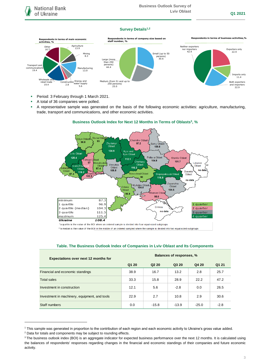### **Survey Details1,2**



- **Period: 3 February through 1 March 2021.**
- A total of 36 companies were polled.
- A representative sample was generated on the basis of the following economic activities: agriculture, manufacturing, trade, transport and communications, and other economic activities.



## **Business Outlook Index for Next 12 Months in Terms of Oblasts<sup>3</sup> , %**

\*a quartile is the value of the BOI where an ordered sample is divided into four equal-sized subgroups

\*\* a median is the value of the BOI in the middle of an ordered sampled where the sample is divided into two equal-sized subgroups

| <b>Expectations over next 12 months for</b>   | <b>Balances of responses, %</b> |                               |         |         |        |
|-----------------------------------------------|---------------------------------|-------------------------------|---------|---------|--------|
|                                               | Q1 20                           | Q <sub>2</sub> 2 <sub>0</sub> | Q3 20   | Q4 20   | Q1 21  |
| Financial and economic standings              | 38.9                            | 16.7                          | 13.2    | 2.8     | 25.7   |
| <b>Total sales</b>                            | 33.3                            | 15.8                          | 28.9    | 22.2    | 47.2   |
| Investment in construction                    | 12.1                            | 5.6                           | $-2.8$  | 0.0     | 26.5   |
| Investment in machinery, equipment, and tools | 22.9                            | 2.7                           | 10.8    | 2.9     | 30.6   |
| Staff numbers                                 | 0.0                             | $-15.8$                       | $-13.9$ | $-25.0$ | $-2.8$ |

#### **Table. The Business Outlook Index of Companies in Lviv Oblast and Its Components**

1

<sup>1</sup> This sample was generated in proportion to the contribution of each region and each economic activity to Ukraine's gross value added.

<sup>2</sup> Data for totals and components may be subject to rounding effects.

<sup>&</sup>lt;sup>3</sup> The business outlook index (BOI) is an aggregate indicator for expected business performance over the next 12 months. It is calculated using the balances of respondents' responses regarding changes in the financial and economic standings of their companies and future economic activity.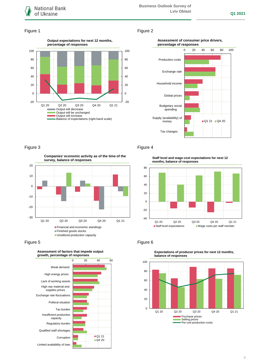

#### Figure 1 Figure 2



#### **Assessment of consumer price drivers, percentage of responses**



## Figure 3 **Figure 4**

**Companies' economic activity as of the time of the survey, balance of responses**



Figure 5 **Figure 6** Figure 6



**Staff level and wage cost expectations for next 12 months, balance of responses**





**Expectations of producer prices for next 12 months,**